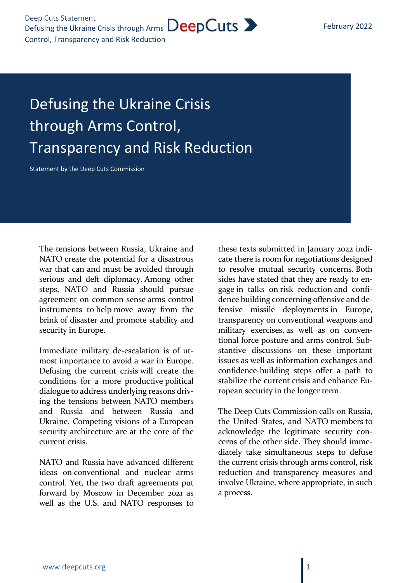## Defusing the Ukraine Crisis through Arms Control, Transparency and Risk Reduction

Statement by the Deep Cuts Commission

The tensions between Russia, Ukraine and NATO create the potential for a disastrous war that can and must be avoided through serious and deft diplomacy. Among other steps, NATO and Russia should pursue agreement on common sense arms control instruments to help move away from the brink of disaster and promote stability and security in Europe.

Immediate military de-escalation is of utmost importance to avoid a war in Europe. Defusing the current crisis will create the conditions for a more productive political dialogue to address underlying reasons driving the tensions between NATO members and Russia and between Russia and Ukraine. Competing visions of a European security architecture are at the core of the current crisis.

NATO and Russia have advanced different ideas on conventional and nuclear arms control. Yet, the two draft agreements put forward by Moscow in December 2021 as well as the U.S. and NATO responses to

these texts submitted in January 2022 indicate there is room for negotiations designed to resolve mutual security concerns. Both sides have stated that they are ready to engage in talks on risk reduction and confidence building concerning offensive and defensive missile deployments in Europe, transparency on conventional weapons and military exercises, as well as on conventional force posture and arms control. Substantive discussions on these important issues as well as information exchanges and confidence-building steps offer a path to stabilize the current crisis and enhance European security in the longer term.

The Deep Cuts Commission calls on Russia, the United States, and NATO members to acknowledge the legitimate security concerns of the other side. They should immediately take simultaneous steps to defuse the current crisis through arms control, risk reduction and transparency measures and involve Ukraine, where appropriate, in such a process.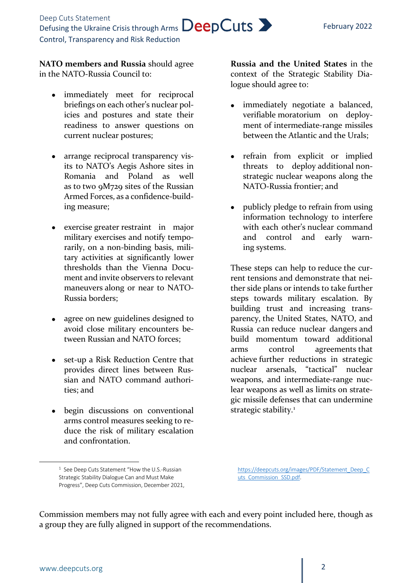February 2022

**NATO members and Russia** should agree in the NATO-Russia Council to:

- immediately meet for reciprocal briefings on each other's nuclear policies and postures and state their readiness to answer questions on current nuclear postures;
- arrange reciprocal transparency visits to NATO's Aegis Ashore sites in Romania and Poland as well as to two 9M729 sites of the Russian Armed Forces, as a confidence-building measure;
- exercise greater restraint in major military exercises and notify temporarily, on a non-binding basis, military activities at significantly lower thresholds than the Vienna Document and invite observers to relevant maneuvers along or near to NATO-Russia borders;
- agree on new guidelines designed to avoid close military encounters between Russian and NATO forces;
- set-up a Risk Reduction Centre that provides direct lines between Russian and NATO command authorities; and
- begin discussions on conventional arms control measures seeking to reduce the risk of military escalation and confrontation.

**Russia and the United States** in the context of the Strategic Stability Dialogue should agree to:

- immediately negotiate a balanced, verifiable moratorium on deployment of intermediate-range missiles between the Atlantic and the Urals;
- refrain from explicit or implied threats to deploy additional nonstrategic nuclear weapons along the NATO-Russia frontier; and
- publicly pledge to refrain from using information technology to interfere with each other's nuclear command and control and early warning systems.

These steps can help to reduce the current tensions and demonstrate that neither side plans or intends to take further steps towards military escalation. By building trust and increasing transparency, the United States, NATO, and Russia can reduce nuclear dangers and build momentum toward additional arms control agreements that achieve further reductions in strategic nuclear arsenals, "tactical" nuclear weapons, and intermediate-range nuclear weapons as well as limits on strategic missile defenses that can undermine strategic stability.<sup>[1](#page-1-0)</sup>

[https://deepcuts.org/images/PDF/Statement\\_Deep\\_C](https://deepcuts.org/images/PDF/Statement_Deep_Cuts_Commission_SSD.pdf) [uts\\_Commission\\_SSD.pdf.](https://deepcuts.org/images/PDF/Statement_Deep_Cuts_Commission_SSD.pdf)

Commission members may not fully agree with each and every point included here, though as a group they are fully aligned in support of the recommendations.

<span id="page-1-0"></span> $\overline{a}$ 

<sup>&</sup>lt;sup>1</sup> See Deep Cuts Statement "How the U.S.-Russian Strategic Stability Dialogue Can and Must Make Progress", Deep Cuts Commission, December 2021,